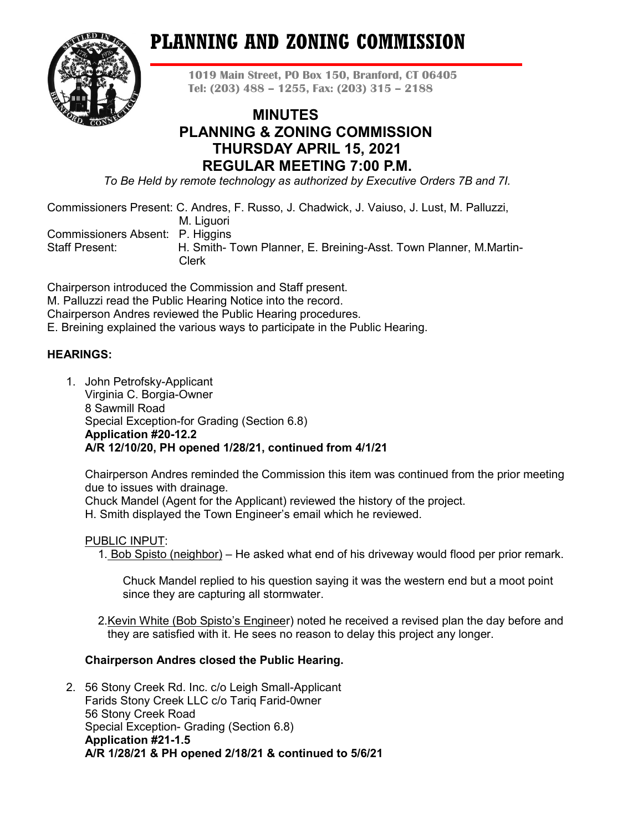# **PLANNING AND ZONING COMMISSION**



**1019 Main Street, PO Box 150, Branford, CT 06405 Tel: (203) 488 – 1255, Fax: (203) 315 – 2188**

# **MINUTES PLANNING & ZONING COMMISSION THURSDAY APRIL 15, 2021 REGULAR MEETING 7:00 P.M.**

*To Be Held by remote technology as authorized by Executive Orders 7B and 7I.*

Commissioners Present: C. Andres, F. Russo, J. Chadwick, J. Vaiuso, J. Lust, M. Palluzzi,

M. Liguori

Commissioners Absent: P. Higgins

Staff Present: H. Smith- Town Planner, E. Breining-Asst. Town Planner, M.Martin- Clerk

Chairperson introduced the Commission and Staff present. M. Palluzzi read the Public Hearing Notice into the record. Chairperson Andres reviewed the Public Hearing procedures. E. Breining explained the various ways to participate in the Public Hearing.

# **HEARINGS:**

1. John Petrofsky-Applicant Virginia C. Borgia-Owner 8 Sawmill Road Special Exception-for Grading (Section 6.8) **Application #20-12.2 A/R 12/10/20, PH opened 1/28/21, continued from 4/1/21**

Chairperson Andres reminded the Commission this item was continued from the prior meeting due to issues with drainage.

Chuck Mandel (Agent for the Applicant) reviewed the history of the project.

H. Smith displayed the Town Engineer's email which he reviewed.

# PUBLIC INPUT:

1. Bob Spisto (neighbor) – He asked what end of his driveway would flood per prior remark.

Chuck Mandel replied to his question saying it was the western end but a moot point since they are capturing all stormwater.

 2.Kevin White (Bob Spisto's Engineer) noted he received a revised plan the day before and they are satisfied with it. He sees no reason to delay this project any longer.

# **Chairperson Andres closed the Public Hearing.**

2. 56 Stony Creek Rd. Inc. c/o Leigh Small-Applicant Farids Stony Creek LLC c/o Tariq Farid-0wner 56 Stony Creek Road Special Exception- Grading (Section 6.8) **Application #21-1.5 A/R 1/28/21 & PH opened 2/18/21 & continued to 5/6/21**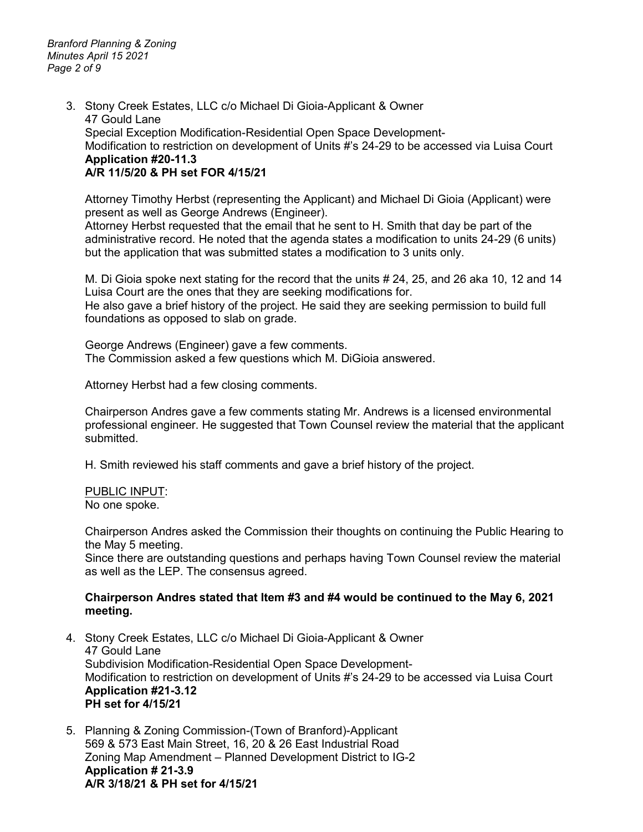*Branford Planning & Zoning Minutes April 15 2021 Page 2 of 9*

> 3. Stony Creek Estates, LLC c/o Michael Di Gioia-Applicant & Owner 47 Gould Lane Special Exception Modification-Residential Open Space Development-Modification to restriction on development of Units #'s 24-29 to be accessed via Luisa Court **Application #20-11.3 A/R 11/5/20 & PH set FOR 4/15/21**

Attorney Timothy Herbst (representing the Applicant) and Michael Di Gioia (Applicant) were present as well as George Andrews (Engineer).

Attorney Herbst requested that the email that he sent to H. Smith that day be part of the administrative record. He noted that the agenda states a modification to units 24-29 (6 units) but the application that was submitted states a modification to 3 units only.

M. Di Gioia spoke next stating for the record that the units # 24, 25, and 26 aka 10, 12 and 14 Luisa Court are the ones that they are seeking modifications for.

He also gave a brief history of the project. He said they are seeking permission to build full foundations as opposed to slab on grade.

George Andrews (Engineer) gave a few comments. The Commission asked a few questions which M. DiGioia answered.

Attorney Herbst had a few closing comments.

Chairperson Andres gave a few comments stating Mr. Andrews is a licensed environmental professional engineer. He suggested that Town Counsel review the material that the applicant submitted.

H. Smith reviewed his staff comments and gave a brief history of the project.

PUBLIC INPUT:

No one spoke.

Chairperson Andres asked the Commission their thoughts on continuing the Public Hearing to the May 5 meeting.

Since there are outstanding questions and perhaps having Town Counsel review the material as well as the LEP. The consensus agreed.

#### **Chairperson Andres stated that Item #3 and #4 would be continued to the May 6, 2021 meeting.**

- 4. Stony Creek Estates, LLC c/o Michael Di Gioia-Applicant & Owner 47 Gould Lane Subdivision Modification-Residential Open Space Development-Modification to restriction on development of Units #'s 24-29 to be accessed via Luisa Court **Application #21-3.12 PH set for 4/15/21**
- 5. Planning & Zoning Commission-(Town of Branford)-Applicant 569 & 573 East Main Street, 16, 20 & 26 East Industrial Road Zoning Map Amendment – Planned Development District to IG-2 **Application # 21-3.9 A/R 3/18/21 & PH set for 4/15/21**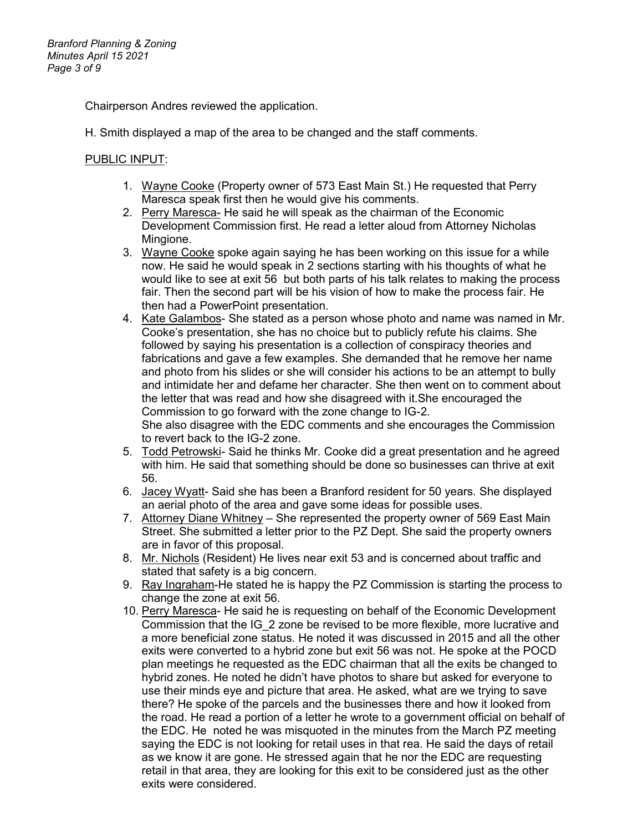Chairperson Andres reviewed the application.

H. Smith displayed a map of the area to be changed and the staff comments.

### PUBLIC INPUT:

- 1. Wayne Cooke (Property owner of 573 East Main St.) He requested that Perry Maresca speak first then he would give his comments.
- 2. Perry Maresca- He said he will speak as the chairman of the Economic Development Commission first. He read a letter aloud from Attorney Nicholas Mingione.
- 3. Wayne Cooke spoke again saying he has been working on this issue for a while now. He said he would speak in 2 sections starting with his thoughts of what he would like to see at exit 56 but both parts of his talk relates to making the process fair. Then the second part will be his vision of how to make the process fair. He then had a PowerPoint presentation.
- 4. Kate Galambos- She stated as a person whose photo and name was named in Mr. Cooke's presentation, she has no choice but to publicly refute his claims. She followed by saying his presentation is a collection of conspiracy theories and fabrications and gave a few examples. She demanded that he remove her name and photo from his slides or she will consider his actions to be an attempt to bully and intimidate her and defame her character. She then went on to comment about the letter that was read and how she disagreed with it.She encouraged the Commission to go forward with the zone change to IG-2. She also disagree with the EDC comments and she encourages the Commission
- to revert back to the IG-2 zone. 5. Todd Petrowski- Said he thinks Mr. Cooke did a great presentation and he agreed
- with him. He said that something should be done so businesses can thrive at exit 56.
- 6. Jacey Wyatt- Said she has been a Branford resident for 50 years. She displayed an aerial photo of the area and gave some ideas for possible uses.
- 7. Attorney Diane Whitney She represented the property owner of 569 East Main Street. She submitted a letter prior to the PZ Dept. She said the property owners are in favor of this proposal.
- 8. Mr. Nichols (Resident) He lives near exit 53 and is concerned about traffic and stated that safety is a big concern.
- 9. Ray Ingraham-He stated he is happy the PZ Commission is starting the process to change the zone at exit 56.
- 10. Perry Maresca- He said he is requesting on behalf of the Economic Development Commission that the IG\_2 zone be revised to be more flexible, more lucrative and a more beneficial zone status. He noted it was discussed in 2015 and all the other exits were converted to a hybrid zone but exit 56 was not. He spoke at the POCD plan meetings he requested as the EDC chairman that all the exits be changed to hybrid zones. He noted he didn't have photos to share but asked for everyone to use their minds eye and picture that area. He asked, what are we trying to save there? He spoke of the parcels and the businesses there and how it looked from the road. He read a portion of a letter he wrote to a government official on behalf of the EDC. He noted he was misquoted in the minutes from the March PZ meeting saying the EDC is not looking for retail uses in that rea. He said the days of retail as we know it are gone. He stressed again that he nor the EDC are requesting retail in that area, they are looking for this exit to be considered just as the other exits were considered.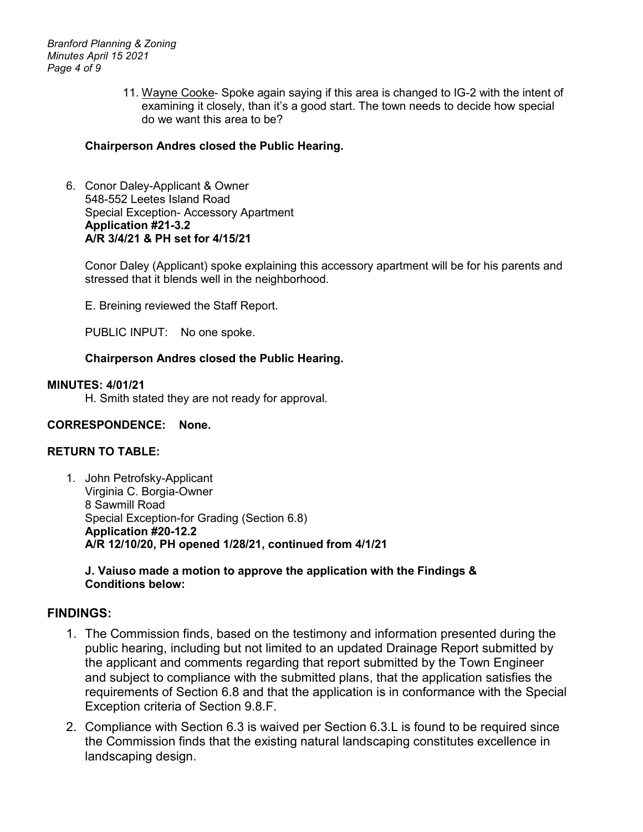*Branford Planning & Zoning Minutes April 15 2021 Page 4 of 9*

> 11. Wayne Cooke- Spoke again saying if this area is changed to IG-2 with the intent of examining it closely, than it's a good start. The town needs to decide how special do we want this area to be?

### **Chairperson Andres closed the Public Hearing.**

6. Conor Daley-Applicant & Owner 548-552 Leetes Island Road Special Exception- Accessory Apartment **Application #21-3.2 A/R 3/4/21 & PH set for 4/15/21**

Conor Daley (Applicant) spoke explaining this accessory apartment will be for his parents and stressed that it blends well in the neighborhood.

E. Breining reviewed the Staff Report.

PUBLIC INPUT: No one spoke.

### **Chairperson Andres closed the Public Hearing.**

#### **MINUTES: 4/01/21**

H. Smith stated they are not ready for approval.

### **CORRESPONDENCE: None.**

### **RETURN TO TABLE:**

1. John Petrofsky-Applicant Virginia C. Borgia-Owner 8 Sawmill Road Special Exception-for Grading (Section 6.8) **Application #20-12.2 A/R 12/10/20, PH opened 1/28/21, continued from 4/1/21**

### **J. Vaiuso made a motion to approve the application with the Findings & Conditions below:**

### **FINDINGS:**

- 1. The Commission finds, based on the testimony and information presented during the public hearing, including but not limited to an updated Drainage Report submitted by the applicant and comments regarding that report submitted by the Town Engineer and subject to compliance with the submitted plans, that the application satisfies the requirements of Section 6.8 and that the application is in conformance with the Special Exception criteria of Section 9.8.F.
- 2. Compliance with Section 6.3 is waived per Section 6.3.L is found to be required since the Commission finds that the existing natural landscaping constitutes excellence in landscaping design.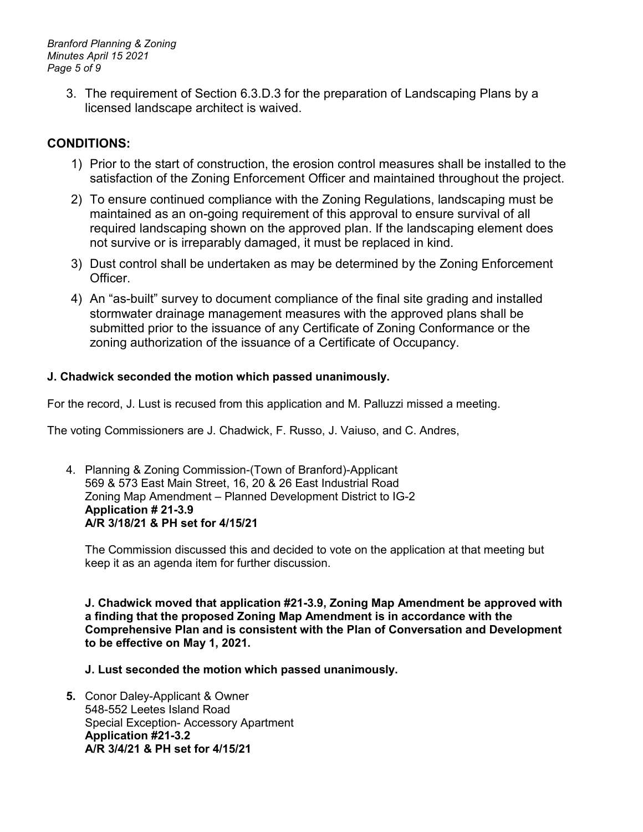*Branford Planning & Zoning Minutes April 15 2021 Page 5 of 9*

> 3. The requirement of Section 6.3.D.3 for the preparation of Landscaping Plans by a licensed landscape architect is waived.

# **CONDITIONS:**

- 1) Prior to the start of construction, the erosion control measures shall be installed to the satisfaction of the Zoning Enforcement Officer and maintained throughout the project.
- 2) To ensure continued compliance with the Zoning Regulations, landscaping must be maintained as an on-going requirement of this approval to ensure survival of all required landscaping shown on the approved plan. If the landscaping element does not survive or is irreparably damaged, it must be replaced in kind.
- 3) Dust control shall be undertaken as may be determined by the Zoning Enforcement Officer.
- 4) An "as-built" survey to document compliance of the final site grading and installed stormwater drainage management measures with the approved plans shall be submitted prior to the issuance of any Certificate of Zoning Conformance or the zoning authorization of the issuance of a Certificate of Occupancy.

# **J. Chadwick seconded the motion which passed unanimously.**

For the record, J. Lust is recused from this application and M. Palluzzi missed a meeting.

The voting Commissioners are J. Chadwick, F. Russo, J. Vaiuso, and C. Andres,

4. Planning & Zoning Commission-(Town of Branford)-Applicant 569 & 573 East Main Street, 16, 20 & 26 East Industrial Road Zoning Map Amendment – Planned Development District to IG-2 **Application # 21-3.9 A/R 3/18/21 & PH set for 4/15/21**

The Commission discussed this and decided to vote on the application at that meeting but keep it as an agenda item for further discussion.

**J. Chadwick moved that application #21-3.9, Zoning Map Amendment be approved with a finding that the proposed Zoning Map Amendment is in accordance with the Comprehensive Plan and is consistent with the Plan of Conversation and Development to be effective on May 1, 2021.**

**J. Lust seconded the motion which passed unanimously.** 

**5.** Conor Daley-Applicant & Owner 548-552 Leetes Island Road Special Exception- Accessory Apartment **Application #21-3.2 A/R 3/4/21 & PH set for 4/15/21**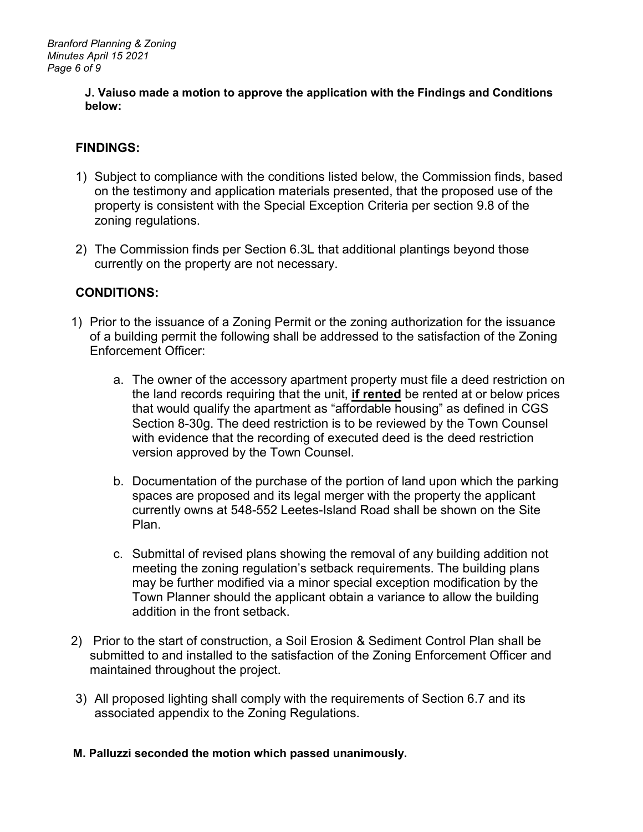### **J. Vaiuso made a motion to approve the application with the Findings and Conditions below:**

# **FINDINGS:**

- 1) Subject to compliance with the conditions listed below, the Commission finds, based on the testimony and application materials presented, that the proposed use of the property is consistent with the Special Exception Criteria per section 9.8 of the zoning regulations.
- 2) The Commission finds per Section 6.3L that additional plantings beyond those currently on the property are not necessary.

# **CONDITIONS:**

- 1) Prior to the issuance of a Zoning Permit or the zoning authorization for the issuance of a building permit the following shall be addressed to the satisfaction of the Zoning Enforcement Officer:
	- a. The owner of the accessory apartment property must file a deed restriction on the land records requiring that the unit, **if rented** be rented at or below prices that would qualify the apartment as "affordable housing" as defined in CGS Section 8-30g. The deed restriction is to be reviewed by the Town Counsel with evidence that the recording of executed deed is the deed restriction version approved by the Town Counsel.
	- b. Documentation of the purchase of the portion of land upon which the parking spaces are proposed and its legal merger with the property the applicant currently owns at 548-552 Leetes-Island Road shall be shown on the Site Plan.
	- c. Submittal of revised plans showing the removal of any building addition not meeting the zoning regulation's setback requirements. The building plans may be further modified via a minor special exception modification by the Town Planner should the applicant obtain a variance to allow the building addition in the front setback.
- 2) Prior to the start of construction, a Soil Erosion & Sediment Control Plan shall be submitted to and installed to the satisfaction of the Zoning Enforcement Officer and maintained throughout the project.
- 3) All proposed lighting shall comply with the requirements of Section 6.7 and its associated appendix to the Zoning Regulations.

# **M. Palluzzi seconded the motion which passed unanimously.**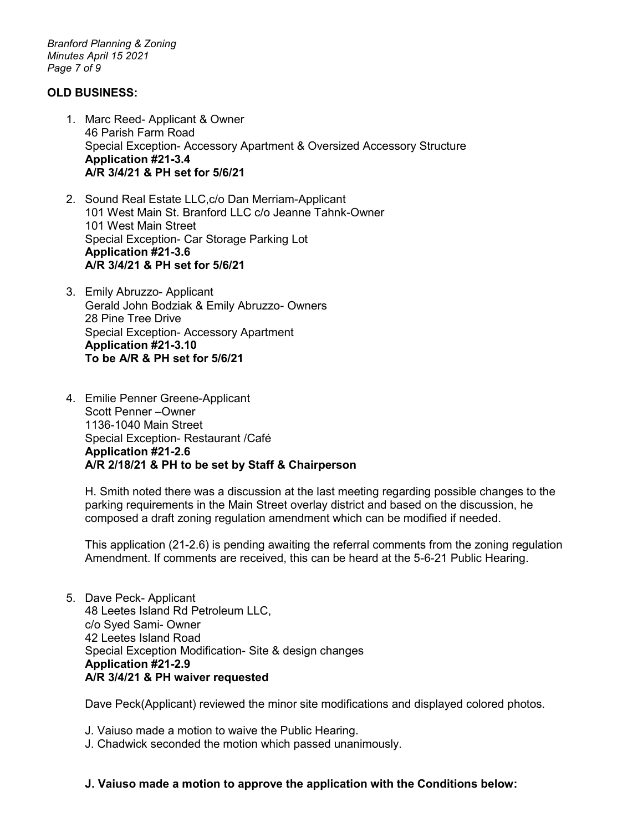*Branford Planning & Zoning Minutes April 15 2021 Page 7 of 9*

### **OLD BUSINESS:**

- 1. Marc Reed- Applicant & Owner 46 Parish Farm Road Special Exception- Accessory Apartment & Oversized Accessory Structure **Application #21-3.4 A/R 3/4/21 & PH set for 5/6/21**
- 2. Sound Real Estate LLC,c/o Dan Merriam-Applicant 101 West Main St. Branford LLC c/o Jeanne Tahnk-Owner 101 West Main Street Special Exception- Car Storage Parking Lot **Application #21-3.6 A/R 3/4/21 & PH set for 5/6/21**
- 3. Emily Abruzzo- Applicant Gerald John Bodziak & Emily Abruzzo- Owners 28 Pine Tree Drive Special Exception- Accessory Apartment **Application #21-3.10 To be A/R & PH set for 5/6/21**
- 4. Emilie Penner Greene-Applicant Scott Penner –Owner 1136-1040 Main Street Special Exception- Restaurant /Café **Application #21-2.6 A/R 2/18/21 & PH to be set by Staff & Chairperson**

H. Smith noted there was a discussion at the last meeting regarding possible changes to the parking requirements in the Main Street overlay district and based on the discussion, he composed a draft zoning regulation amendment which can be modified if needed.

This application (21-2.6) is pending awaiting the referral comments from the zoning regulation Amendment. If comments are received, this can be heard at the 5-6-21 Public Hearing.

5. Dave Peck- Applicant 48 Leetes Island Rd Petroleum LLC, c/o Syed Sami- Owner 42 Leetes Island Road Special Exception Modification- Site & design changes **Application #21-2.9 A/R 3/4/21 & PH waiver requested**

Dave Peck(Applicant) reviewed the minor site modifications and displayed colored photos.

- J. Vaiuso made a motion to waive the Public Hearing.
- J. Chadwick seconded the motion which passed unanimously.

### **J. Vaiuso made a motion to approve the application with the Conditions below:**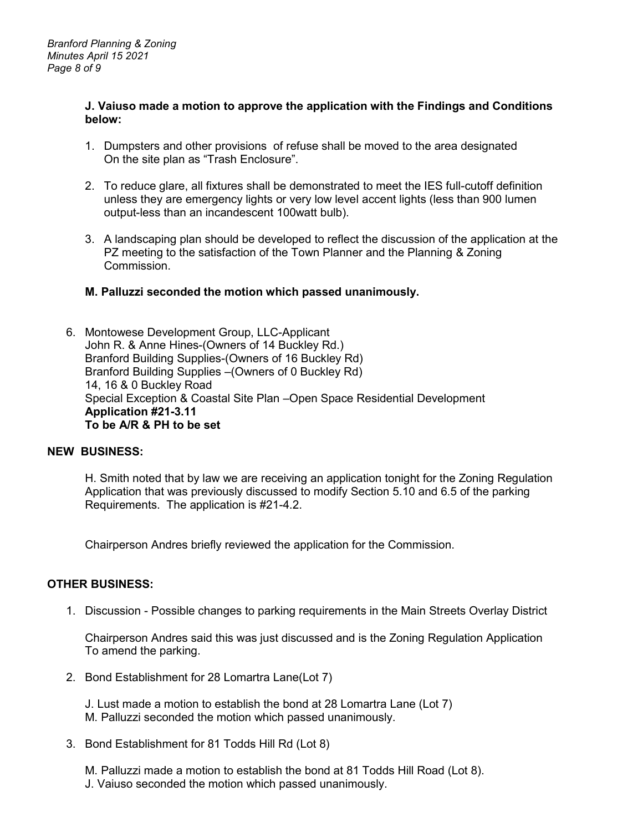#### **J. Vaiuso made a motion to approve the application with the Findings and Conditions below:**

- 1. Dumpsters and other provisions of refuse shall be moved to the area designated On the site plan as "Trash Enclosure".
- 2. To reduce glare, all fixtures shall be demonstrated to meet the IES full-cutoff definition unless they are emergency lights or very low level accent lights (less than 900 lumen output-less than an incandescent 100watt bulb).
- 3. A landscaping plan should be developed to reflect the discussion of the application at the PZ meeting to the satisfaction of the Town Planner and the Planning & Zoning Commission.

### **M. Palluzzi seconded the motion which passed unanimously.**

6. Montowese Development Group, LLC-Applicant John R. & Anne Hines-(Owners of 14 Buckley Rd.) Branford Building Supplies-(Owners of 16 Buckley Rd) Branford Building Supplies –(Owners of 0 Buckley Rd) 14, 16 & 0 Buckley Road Special Exception & Coastal Site Plan –Open Space Residential Development **Application #21-3.11 To be A/R & PH to be set** 

#### **NEW BUSINESS:**

H. Smith noted that by law we are receiving an application tonight for the Zoning Regulation Application that was previously discussed to modify Section 5.10 and 6.5 of the parking Requirements. The application is #21-4.2.

Chairperson Andres briefly reviewed the application for the Commission.

#### **OTHER BUSINESS:**

1. Discussion - Possible changes to parking requirements in the Main Streets Overlay District

Chairperson Andres said this was just discussed and is the Zoning Regulation Application To amend the parking.

2. Bond Establishment for 28 Lomartra Lane(Lot 7)

J. Lust made a motion to establish the bond at 28 Lomartra Lane (Lot 7) M. Palluzzi seconded the motion which passed unanimously.

3. Bond Establishment for 81 Todds Hill Rd (Lot 8)

M. Palluzzi made a motion to establish the bond at 81 Todds Hill Road (Lot 8). J. Vaiuso seconded the motion which passed unanimously.